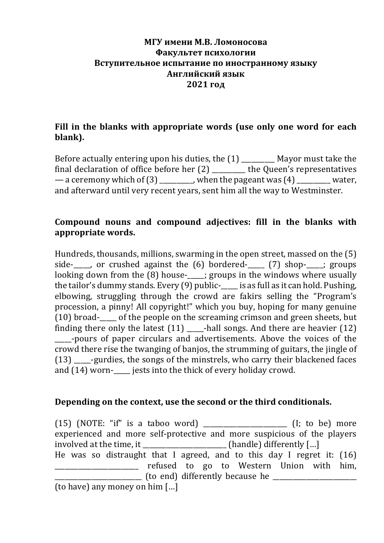#### **МГУ имени М.В. Ломоносова Факультет психологии** Вступительное испытание по иностранному языку **Английский язык 2021 год**

### Fill in the blanks with appropriate words (use only one word for each **blank).**

Before actually entering upon his duties, the  $(1)$  \_\_\_\_\_\_\_\_\_ Mayor must take the final declaration of office before her  $(2)$  \_\_\_\_\_\_\_\_ the Queen's representatives — a ceremony which of  $(3)$  , when the pageant was  $(4)$  water, and afterward until very recent years, sent him all the way to Westminster.

#### Compound nouns and compound adjectives: fill in the blanks with **appropriate words.**

Hundreds, thousands, millions, swarming in the open street, massed on the  $(5)$ side-  $\blacksquare$ , or crushed against the  $(6)$  bordered-  $(7)$  shop- ; groups looking down from the  $(8)$  house- $\qquad$ ; groups in the windows where usually the tailor's dummy stands. Every  $(9)$  public- $\frac{1}{1}$  is as full as it can hold. Pushing, elbowing, struggling through the crowd are fakirs selling the "Program's procession, a pinny! All copyright!" which you buy, hoping for many genuine  $(10)$  broad- of the people on the screaming crimson and green sheets, but finding there only the latest  $(11)$  -hall songs. And there are heavier  $(12)$ \_\_\_\_\_-pours of paper circulars and advertisements. Above the voices of the crowd there rise the twanging of banjos, the strumming of guitars, the jingle of (13) -gurdies, the songs of the minstrels, who carry their blackened faces and  $(14)$  worn-<br>jests into the thick of every holiday crowd.

#### **Depending on the context, use the second or the third conditionals.**

 $(15)$  (NOTE: "if" is a taboo word) \_\_\_\_\_\_\_\_\_\_\_\_\_\_\_\_\_\_\_\_\_\_\_ (I; to be) more experienced and more self-protective and more suspicious of the players involved at the time, it  $\qquad$  (handle) differently [...] He was so distraught that I agreed, and to this day I regret it:  $(16)$ The same of the settled to go to Western Union with him, \_\_\_\_\_\_\_\_\_\_\_\_\_\_\_\_\_\_\_\_\_\_\_\_\_\_ (to end) differently because he \_\_\_\_\_\_\_\_\_\_\_\_\_\_\_\_\_\_\_\_\_\_\_\_\_ (to have) any money on him  $\lceil ... \rceil$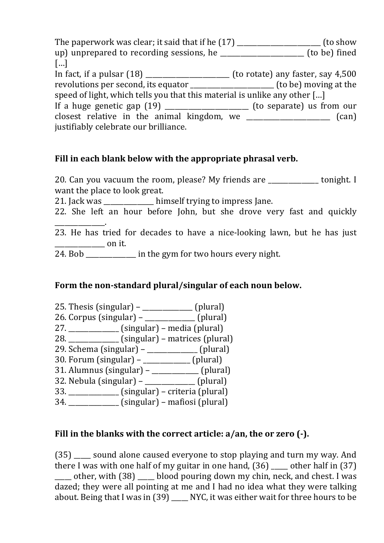The paperwork was clear; it said that if he  $(17)$  \_\_\_\_\_\_\_\_\_\_\_\_\_\_\_\_\_\_\_\_\_\_ (to show up) unprepared to recording sessions, he  $\qquad$  (to be) fined […] In fact, if a pulsar  $(18)$  \_\_\_\_\_\_\_\_\_\_\_\_\_\_\_\_\_\_\_\_\_\_ (to rotate) any faster, say 4,500 revolutions per second, its equator \_\_\_\_\_\_\_\_\_\_\_\_\_\_\_\_\_\_\_\_\_\_(to be) moving at the speed of light, which tells you that this material is unlike any other  $[...]$ If a huge genetic gap  $(19)$  \_\_\_\_\_\_\_\_\_\_\_\_\_\_\_\_\_\_\_\_\_ (to separate) us from our  $\frac{1}{2}$  closest relative in the animal kingdom, we  $\frac{1}{2}$  (can) justifiably celebrate our brilliance.

#### Fill in each blank below with the appropriate phrasal verb.

20. Can you vacuum the room, please? My friends are \_\_\_\_\_\_\_\_\_\_\_\_\_ tonight. I want the place to look great.

21. Jack was himself trying to impress Jane.

22. She left an hour before John, but she drove very fast and quickly

\_\_\_\_\_\_\_\_\_\_\_\_\_\_\_. 23. He has tried for decades to have a nice-looking lawn, but he has just  $\frac{1}{2}$  on it.

24. Bob \_\_\_\_\_\_\_\_\_\_\_\_\_\_\_ in the gym for two hours every night.

## Form the non-standard plural/singular of each noun below.

- 25. Thesis (singular) – \_\_\_\_\_\_\_\_\_\_\_\_\_\_\_ (plural)
- $26.$  Corpus  $(singular)$  \_\_\_\_\_\_\_\_\_\_\_\_\_\_ (plural)
- 27. \_\_\_\_\_\_\_\_\_\_\_\_\_\_\_ (singular) – media (plural)
- $28.$   $\frac{1}{\sqrt{25}}$  (singular) matrices (plural)
- $29.$  Schema (singular)  $\qquad \qquad$  (plural)
- 30. Forum  $(singular)$  \_\_\_\_\_\_\_\_\_\_\_\_ (plural)
- 31. Alumnus (singular)  $-$  \_\_\_\_\_\_\_\_\_\_\_\_\_\_ (plural)
- 32. Nebula (singular) – \_\_\_\_\_\_\_\_\_\_\_\_\_\_\_ (plural)  $33.$  \_\_\_\_\_\_\_\_\_\_\_\_\_\_\_\_\_\_\_\_\_\_\_(singular) – criteria (plural)
- 
- 34. (singular) mafiosi (plural)

## **Fill in the blanks with the correct article: a/an, the or zero (-).**

(35) sound alone caused everyone to stop playing and turn my way. And there I was with one half of my guitar in one hand,  $(36)$  \_\_\_\_ other half in  $(37)$ other, with  $(38)$  blood pouring down my chin, neck, and chest. I was dazed; they were all pointing at me and I had no idea what they were talking about. Being that I was in  $(39)$  \_\_\_\_ NYC, it was either wait for three hours to be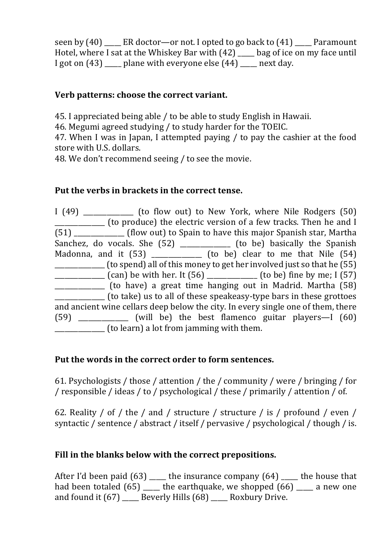seen by  $(40)$  ER doctor—or not. I opted to go back to  $(41)$  Paramount Hotel, where I sat at the Whiskey Bar with  $(42)$   $\qquad$  bag of ice on my face until I got on  $(43)$  \_\_\_\_\_ plane with everyone else  $(44)$  \_\_\_\_\_ next day.

### **Verb patterns: choose the correct variant.**

45. I appreciated being able / to be able to study English in Hawaii.

46. Megumi agreed studying / to study harder for the TOEIC.

47. When I was in Japan, I attempted paving  $\ell$  to pay the cashier at the food store with U.S. dollars.

48. We don't recommend seeing / to see the movie.

#### **Put the verbs in brackets in the correct tense.**

I (49) \_\_\_\_\_\_\_\_\_\_\_\_\_ (to flow out) to New York, where Nile Rodgers (50) \_\_\_\_\_\_\_\_\_\_\_\_\_\_\_ (to produce) the electric version of a few tracks. Then he and I (51) \_\_\_\_\_\_\_\_\_\_\_\_\_\_\_ (flow out) to Spain to have this major Spanish star, Martha Sanchez, do vocals. She  $(52)$  \_\_\_\_\_\_\_\_\_\_\_\_ (to be) basically the Spanish Madonna, and it  $(53)$  (to be) clear to me that Nile  $(54)$ \_\_\_\_\_\_\_\_\_\_\_\_\_\_ (to spend) all of this money to get her involved just so that he (55) \_\_\_\_\_\_\_\_\_\_\_\_\_\_\_ (can) be with her. It (56) \_\_\_\_\_\_\_\_\_\_\_\_\_\_\_ (to be) fine by me; I (57) **\_\_\_\_\_\_\_\_\_\_\_\_** (to have) a great time hanging out in Madrid. Martha (58) \_\_\_\_\_\_\_\_\_\_\_\_\_\_\_ (to take) us to all of these speakeasy-type bars in these grottoes and ancient wine cellars deep below the city. In every single one of them, there  $(59)$  (will be) the best flamenco guitar players—I  $(60)$ \_\_\_\_\_\_\_\_\_\_\_\_\_\_\_ (to learn) a lot from jamming with them.

#### Put the words in the correct order to form sentences.

61. Psychologists / those / attention / the / community / were / bringing / for / responsible / ideas / to / psychological / these / primarily / attention / of.

62. Reality / of / the / and / structure / structure / is / profound / even / syntactic / sentence / abstract / itself / pervasive / psychological / though / is.

## Fill in the blanks below with the correct prepositions.

After I'd been paid  $(63)$  \_\_\_\_\_ the insurance company  $(64)$  \_\_\_\_ the house that had been totaled  $(65)$  \_\_\_\_\_ the earthquake, we shopped  $(66)$  \_\_\_\_ a new one and found it  $(67)$  \_\_\_\_\_ Beverly Hills  $(68)$  \_\_\_\_\_ Roxbury Drive.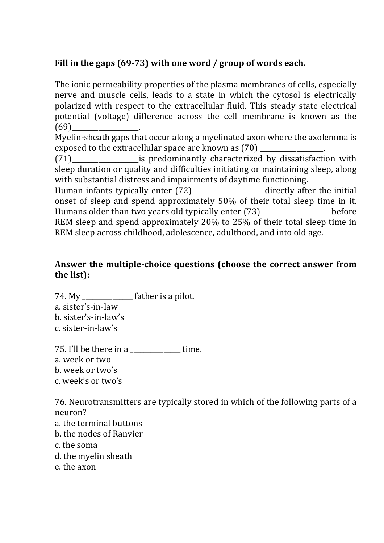# Fill in the gaps (69-73) with one word / group of words each.

The ionic permeability properties of the plasma membranes of cells, especially nerve and muscle cells, leads to a state in which the cytosol is electrically polarized with respect to the extracellular fluid. This steady state electrical potential (voltage) difference across the cell membrane is known as the  $(69)$ 

Myelin-sheath gaps that occur along a myelinated axon where the axolemma is exposed to the extracellular space are known as (70) \_\_\_\_\_\_\_\_\_\_\_\_\_\_\_\_\_\_\_.

(71) The same is predominantly characterized by dissatisfaction with sleep duration or quality and difficulties initiating or maintaining sleep, along with substantial distress and impairments of daytime functioning.

Human infants typically enter  $(72)$  \_\_\_\_\_\_\_\_\_\_\_\_\_\_\_\_\_\_ directly after the initial onset of sleep and spend approximately 50% of their total sleep time in it. Humans older than two years old typically enter  $(73)$  before REM sleep and spend approximately 20% to 25% of their total sleep time in REM sleep across childhood, adolescence, adulthood, and into old age.

#### Answer the multiple-choice questions (choose the correct answer from **the list):**

 $74. My$  \_\_\_\_\_\_\_\_\_\_\_\_\_\_\_\_ father is a pilot. a. sister's-in-law b. sister's-in-law's c. sister-in-law's

75. I'll be there in a  $\frac{1}{2}$  time. a. week or two b. week or two's c. week's or two's

76. Neurotransmitters are typically stored in which of the following parts of a neuron? a. the terminal buttons

- b. the nodes of Ranvier
- c. the soma
- d, the myelin sheath
- e. the axon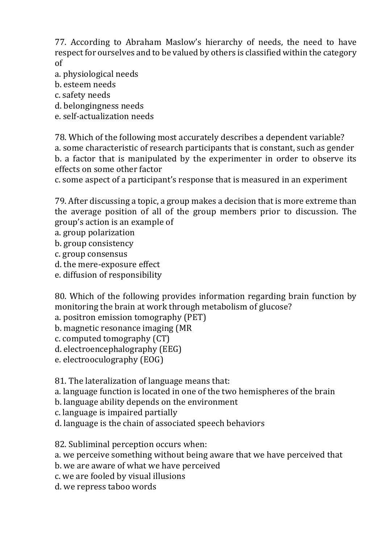77. According to Abraham Maslow's hierarchy of needs, the need to have respect for ourselves and to be valued by others is classified within the category of

- a. physiological needs
- b. esteem needs
- c. safety needs
- d. belongingness needs
- e. self-actualization needs

78. Which of the following most accurately describes a dependent variable? a. some characteristic of research participants that is constant, such as gender b. a factor that is manipulated by the experimenter in order to observe its effects on some other factor

c. some aspect of a participant's response that is measured in an experiment

79. After discussing a topic, a group makes a decision that is more extreme than the average position of all of the group members prior to discussion. The group's action is an example of

- a. group polarization
- b. group consistency
- c. group consensus
- d. the mere-exposure effect
- e. diffusion of responsibility

80. Which of the following provides information regarding brain function by monitoring the brain at work through metabolism of glucose?

- a. positron emission tomography (PET)
- b. magnetic resonance imaging (MR
- c. computed tomography (CT)
- d. electroencephalography (EEG)
- e. electrooculography (EOG)

81. The lateralization of language means that:

a. language function is located in one of the two hemispheres of the brain

- b. language ability depends on the environment
- c. language is impaired partially
- d. language is the chain of associated speech behaviors

82. Subliminal perception occurs when:

a. we perceive something without being aware that we have perceived that

b. we are aware of what we have perceived

c. we are fooled by visual illusions

d. we repress taboo words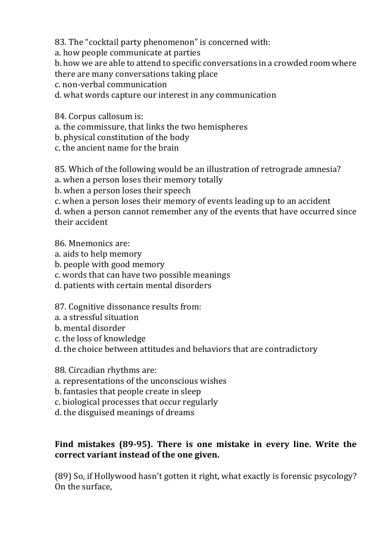83. The "cocktail party phenomenon" is concerned with:

a. how people communicate at parties

b. how we are able to attend to specific conversations in a crowded room where there are many conversations taking place

c. non-verbal communication

d. what words capture our interest in any communication

84. Corpus callosum is:

a. the commissure, that links the two hemispheres

b. physical constitution of the body

c. the ancient name for the brain

85. Which of the following would be an illustration of retrograde amnesia?

a. when a person loses their memory totally

b. when a person loses their speech

c. when a person loses their memory of events leading up to an accident

d. when a person cannot remember any of the events that have occurred since their accident

86. Mnemonics are:

- a. aids to help memory
- b. people with good memory
- c. words that can have two possible meanings
- d. patients with certain mental disorders

87. Cognitive dissonance results from:

- a. a stressful situation
- b. mental disorder
- c. the loss of knowledge
- d. the choice between attitudes and behaviors that are contradictory

88. Circadian rhythms are:

a. representations of the unconscious wishes

b. fantasies that people create in sleep

c. biological processes that occur regularly

d, the disguised meanings of dreams

### Find mistakes (89-95). There is one mistake in every line. Write the correct variant instead of the one given.

(89) So, if Hollywood hasn't gotten it right, what exactly is forensic psycology? On the surface.